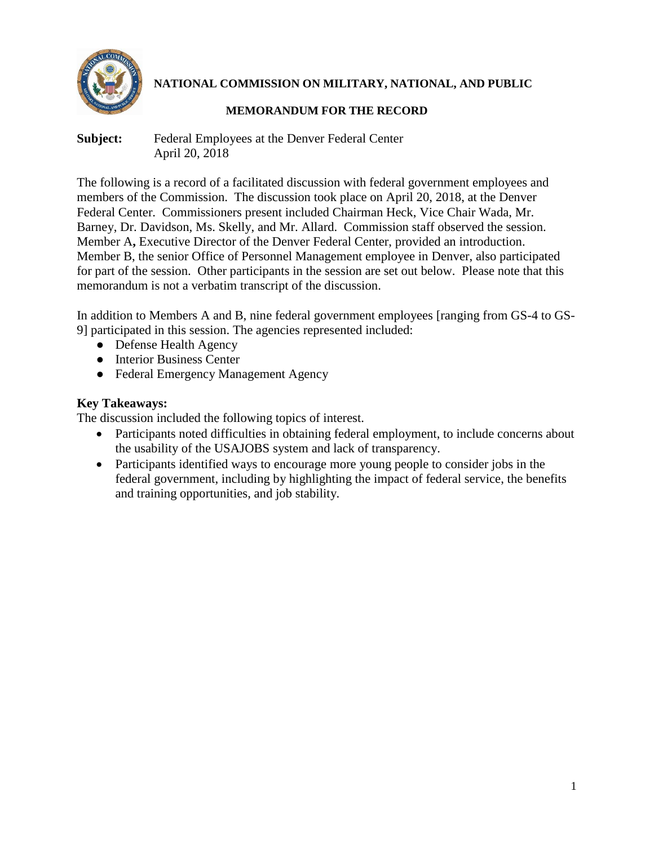

**NATIONAL COMMISSION ON MILITARY, NATIONAL, AND PUBLIC** 

## **MEMORANDUM FOR THE RECORD**

**Subject:** Federal Employees at the Denver Federal Center April 20, 2018

The following is a record of a facilitated discussion with federal government employees and members of the Commission. The discussion took place on April 20, 2018, at the Denver Federal Center. Commissioners present included Chairman Heck, Vice Chair Wada, Mr. Barney, Dr. Davidson, Ms. Skelly, and Mr. Allard. Commission staff observed the session. Member A**,** Executive Director of the Denver Federal Center, provided an introduction. Member B, the senior Office of Personnel Management employee in Denver, also participated for part of the session. Other participants in the session are set out below. Please note that this memorandum is not a verbatim transcript of the discussion.

In addition to Members A and B, nine federal government employees [ranging from GS-4 to GS-9] participated in this session. The agencies represented included:

- Defense Health Agency
- Interior Business Center
- Federal Emergency Management Agency

# **Key Takeaways:**

The discussion included the following topics of interest.

- Participants noted difficulties in obtaining federal employment, to include concerns about the usability of the USAJOBS system and lack of transparency.
- Participants identified ways to encourage more young people to consider jobs in the federal government, including by highlighting the impact of federal service, the benefits and training opportunities, and job stability.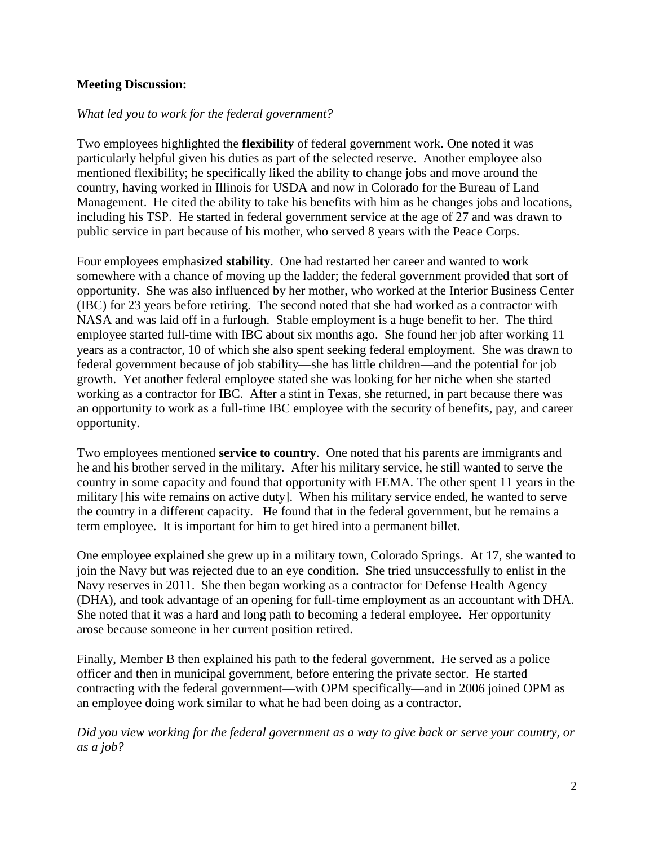### **Meeting Discussion:**

### *What led you to work for the federal government?*

Two employees highlighted the **flexibility** of federal government work. One noted it was particularly helpful given his duties as part of the selected reserve. Another employee also mentioned flexibility; he specifically liked the ability to change jobs and move around the country, having worked in Illinois for USDA and now in Colorado for the Bureau of Land Management. He cited the ability to take his benefits with him as he changes jobs and locations, including his TSP. He started in federal government service at the age of 27 and was drawn to public service in part because of his mother, who served 8 years with the Peace Corps.

Four employees emphasized **stability**. One had restarted her career and wanted to work somewhere with a chance of moving up the ladder; the federal government provided that sort of opportunity. She was also influenced by her mother, who worked at the Interior Business Center (IBC) for 23 years before retiring. The second noted that she had worked as a contractor with NASA and was laid off in a furlough. Stable employment is a huge benefit to her. The third employee started full-time with IBC about six months ago. She found her job after working 11 years as a contractor, 10 of which she also spent seeking federal employment. She was drawn to federal government because of job stability—she has little children—and the potential for job growth. Yet another federal employee stated she was looking for her niche when she started working as a contractor for IBC. After a stint in Texas, she returned, in part because there was an opportunity to work as a full-time IBC employee with the security of benefits, pay, and career opportunity.

Two employees mentioned **service to country**. One noted that his parents are immigrants and he and his brother served in the military. After his military service, he still wanted to serve the country in some capacity and found that opportunity with FEMA. The other spent 11 years in the military [his wife remains on active duty]. When his military service ended, he wanted to serve the country in a different capacity. He found that in the federal government, but he remains a term employee. It is important for him to get hired into a permanent billet.

One employee explained she grew up in a military town, Colorado Springs. At 17, she wanted to join the Navy but was rejected due to an eye condition. She tried unsuccessfully to enlist in the Navy reserves in 2011. She then began working as a contractor for Defense Health Agency (DHA), and took advantage of an opening for full-time employment as an accountant with DHA. She noted that it was a hard and long path to becoming a federal employee. Her opportunity arose because someone in her current position retired.

Finally, Member B then explained his path to the federal government. He served as a police officer and then in municipal government, before entering the private sector. He started contracting with the federal government—with OPM specifically—and in 2006 joined OPM as an employee doing work similar to what he had been doing as a contractor.

*Did you view working for the federal government as a way to give back or serve your country, or as a job?*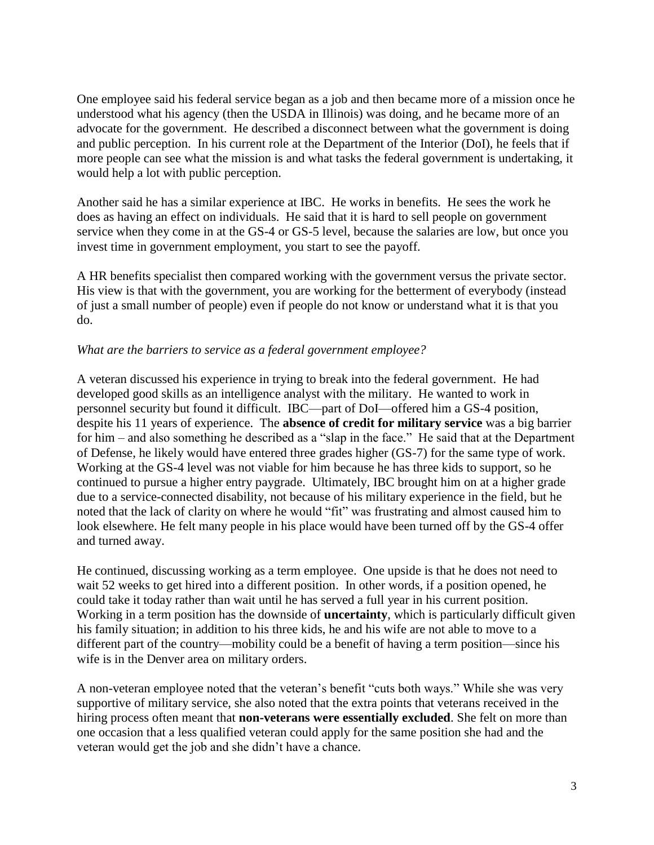One employee said his federal service began as a job and then became more of a mission once he understood what his agency (then the USDA in Illinois) was doing, and he became more of an advocate for the government. He described a disconnect between what the government is doing and public perception. In his current role at the Department of the Interior (DoI), he feels that if more people can see what the mission is and what tasks the federal government is undertaking, it would help a lot with public perception.

Another said he has a similar experience at IBC. He works in benefits. He sees the work he does as having an effect on individuals. He said that it is hard to sell people on government service when they come in at the GS-4 or GS-5 level, because the salaries are low, but once you invest time in government employment, you start to see the payoff.

A HR benefits specialist then compared working with the government versus the private sector. His view is that with the government, you are working for the betterment of everybody (instead of just a small number of people) even if people do not know or understand what it is that you do.

#### *What are the barriers to service as a federal government employee?*

A veteran discussed his experience in trying to break into the federal government. He had developed good skills as an intelligence analyst with the military. He wanted to work in personnel security but found it difficult. IBC—part of DoI—offered him a GS-4 position, despite his 11 years of experience. The **absence of credit for military service** was a big barrier for him – and also something he described as a "slap in the face." He said that at the Department of Defense, he likely would have entered three grades higher (GS-7) for the same type of work. Working at the GS-4 level was not viable for him because he has three kids to support, so he continued to pursue a higher entry paygrade. Ultimately, IBC brought him on at a higher grade due to a service-connected disability, not because of his military experience in the field, but he noted that the lack of clarity on where he would "fit" was frustrating and almost caused him to look elsewhere. He felt many people in his place would have been turned off by the GS-4 offer and turned away.

He continued, discussing working as a term employee. One upside is that he does not need to wait 52 weeks to get hired into a different position. In other words, if a position opened, he could take it today rather than wait until he has served a full year in his current position. Working in a term position has the downside of **uncertainty**, which is particularly difficult given his family situation; in addition to his three kids, he and his wife are not able to move to a different part of the country—mobility could be a benefit of having a term position—since his wife is in the Denver area on military orders.

A non-veteran employee noted that the veteran's benefit "cuts both ways." While she was very supportive of military service, she also noted that the extra points that veterans received in the hiring process often meant that **non-veterans were essentially excluded**. She felt on more than one occasion that a less qualified veteran could apply for the same position she had and the veteran would get the job and she didn't have a chance.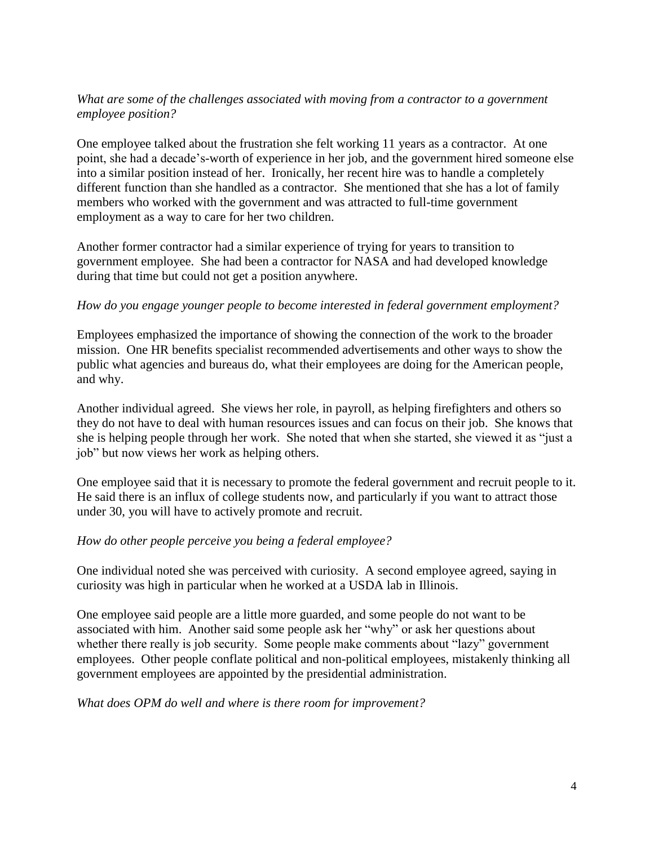### *What are some of the challenges associated with moving from a contractor to a government employee position?*

One employee talked about the frustration she felt working 11 years as a contractor. At one point, she had a decade's-worth of experience in her job, and the government hired someone else into a similar position instead of her. Ironically, her recent hire was to handle a completely different function than she handled as a contractor. She mentioned that she has a lot of family members who worked with the government and was attracted to full-time government employment as a way to care for her two children.

Another former contractor had a similar experience of trying for years to transition to government employee. She had been a contractor for NASA and had developed knowledge during that time but could not get a position anywhere.

### *How do you engage younger people to become interested in federal government employment?*

Employees emphasized the importance of showing the connection of the work to the broader mission. One HR benefits specialist recommended advertisements and other ways to show the public what agencies and bureaus do, what their employees are doing for the American people, and why.

Another individual agreed. She views her role, in payroll, as helping firefighters and others so they do not have to deal with human resources issues and can focus on their job. She knows that she is helping people through her work. She noted that when she started, she viewed it as "just a job" but now views her work as helping others.

One employee said that it is necessary to promote the federal government and recruit people to it. He said there is an influx of college students now, and particularly if you want to attract those under 30, you will have to actively promote and recruit.

#### *How do other people perceive you being a federal employee?*

One individual noted she was perceived with curiosity. A second employee agreed, saying in curiosity was high in particular when he worked at a USDA lab in Illinois.

One employee said people are a little more guarded, and some people do not want to be associated with him. Another said some people ask her "why" or ask her questions about whether there really is job security. Some people make comments about "lazy" government employees. Other people conflate political and non-political employees, mistakenly thinking all government employees are appointed by the presidential administration.

*What does OPM do well and where is there room for improvement?*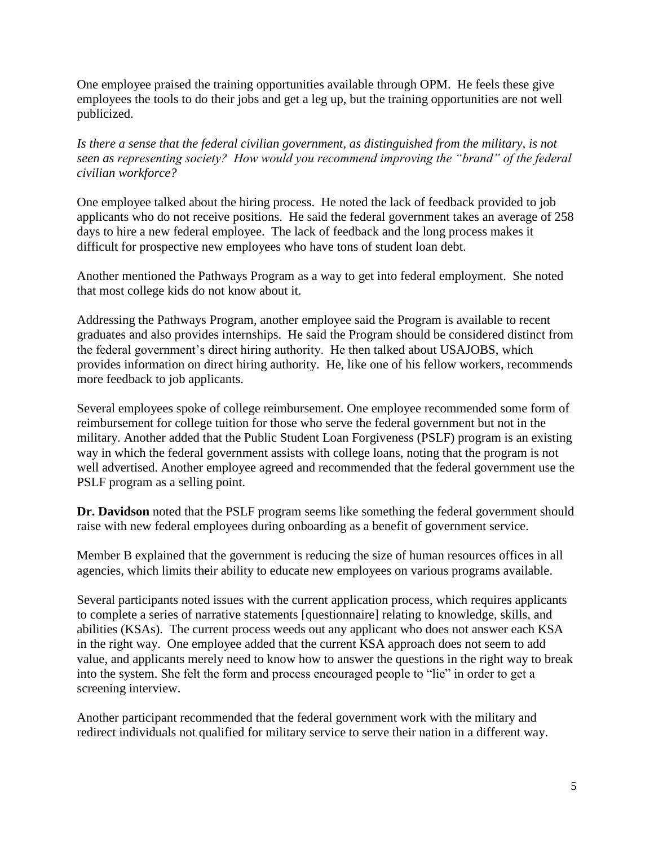One employee praised the training opportunities available through OPM. He feels these give employees the tools to do their jobs and get a leg up, but the training opportunities are not well publicized.

*Is there a sense that the federal civilian government, as distinguished from the military, is not seen as representing society? How would you recommend improving the "brand" of the federal civilian workforce?* 

One employee talked about the hiring process. He noted the lack of feedback provided to job applicants who do not receive positions. He said the federal government takes an average of 258 days to hire a new federal employee. The lack of feedback and the long process makes it difficult for prospective new employees who have tons of student loan debt.

Another mentioned the Pathways Program as a way to get into federal employment. She noted that most college kids do not know about it.

Addressing the Pathways Program, another employee said the Program is available to recent graduates and also provides internships. He said the Program should be considered distinct from the federal government's direct hiring authority. He then talked about USAJOBS, which provides information on direct hiring authority. He, like one of his fellow workers, recommends more feedback to job applicants.

Several employees spoke of college reimbursement. One employee recommended some form of reimbursement for college tuition for those who serve the federal government but not in the military. Another added that the Public Student Loan Forgiveness (PSLF) program is an existing way in which the federal government assists with college loans, noting that the program is not well advertised. Another employee agreed and recommended that the federal government use the PSLF program as a selling point.

**Dr. Davidson** noted that the PSLF program seems like something the federal government should raise with new federal employees during onboarding as a benefit of government service.

Member B explained that the government is reducing the size of human resources offices in all agencies, which limits their ability to educate new employees on various programs available.

Several participants noted issues with the current application process, which requires applicants to complete a series of narrative statements [questionnaire] relating to knowledge, skills, and abilities (KSAs). The current process weeds out any applicant who does not answer each KSA in the right way. One employee added that the current KSA approach does not seem to add value, and applicants merely need to know how to answer the questions in the right way to break into the system. She felt the form and process encouraged people to "lie" in order to get a screening interview.

Another participant recommended that the federal government work with the military and redirect individuals not qualified for military service to serve their nation in a different way.